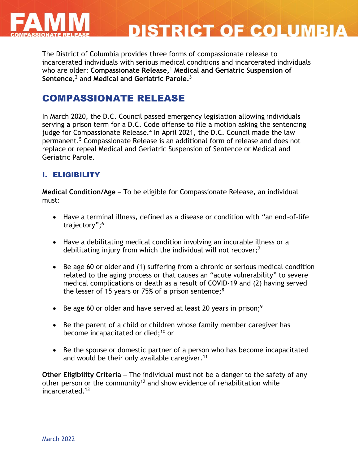

# **DISTRICT OF COLUMBIA**

The District of Columbia provides three forms of compassionate release to incarcerated individuals with serious medical conditions and incarcerated individuals who are older: **Compassionate Release,** <sup>1</sup> **Medical and Geriatric Suspension of Sentence,** <sup>2</sup> and **Medical and Geriatric Parole.** 3

## COMPASSIONATE RELEASE

In March 2020, the D.C. Council passed emergency legislation allowing individuals serving a prison term for a D.C. Code offense to file a motion asking the sentencing judge for Compassionate Release.<sup>4</sup> In April 2021, the D.C. Council made the law permanent. <sup>5</sup> Compassionate Release is an additional form of release and does not replace or repeal Medical and Geriatric Suspension of Sentence or Medical and Geriatric Parole.

#### I. ELIGIBILITY

**Medical Condition/Age** – To be eligible for Compassionate Release, an individual must:

- Have a terminal illness, defined as a disease or condition with "an end-of-life trajectory"; 6
- Have a debilitating medical condition involving an incurable illness or a debilitating injury from which the individual will not recover; $<sup>7</sup>$ </sup>
- Be age 60 or older and (1) suffering from a chronic or serious medical condition related to the aging process or that causes an "acute vulnerability" to severe medical complications or death as a result of COVID-19 and (2) having served the lesser of 15 years or 75% of a prison sentence; $8$
- Be age 60 or older and have served at least 20 years in prison;<sup>9</sup>
- Be the parent of a child or children whose family member caregiver has become incapacitated or died;<sup>10</sup> or
- Be the spouse or domestic partner of a person who has become incapacitated and would be their only available caregiver.<sup>11</sup>

**Other Eligibility Criteria** – The individual must not be a danger to the safety of any other person or the community<sup>12</sup> and show evidence of rehabilitation while incarcerated.13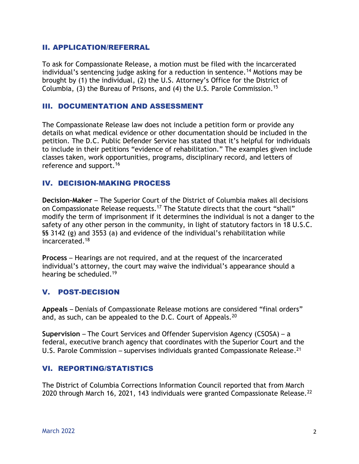#### II. APPLICATION/REFERRAL

To ask for Compassionate Release, a motion must be filed with the incarcerated individual's sentencing judge asking for a reduction in sentence.<sup>14</sup> Motions may be brought by (1) the individual, (2) the U.S. Attorney's Office for the District of Columbia, (3) the Bureau of Prisons, and (4) the U.S. Parole Commission.<sup>15</sup>

#### III. DOCUMENTATION AND ASSESSMENT

The Compassionate Release law does not include a petition form or provide any details on what medical evidence or other documentation should be included in the petition. The D.C. Public Defender Service has stated that it's helpful for individuals to include in their petitions "evidence of rehabilitation." The examples given include classes taken, work opportunities, programs, disciplinary record, and letters of reference and support.<sup>16</sup>

#### IV. DECISION-MAKING PROCESS

**Decision-Maker** – The Superior Court of the District of Columbia makes all decisions on Compassionate Release requests.<sup>17</sup> The Statute directs that the court "shall" modify the term of imprisonment if it determines the individual is not a danger to the safety of any other person in the community, in light of statutory factors in 18 U.S.C. §§ 3142 (g) and 3553 (a) and evidence of the individual's rehabilitation while incarcerated.<sup>18</sup>

**Process** – Hearings are not required, and at the request of the incarcerated individual's attorney, the court may waive the individual's appearance should a hearing be scheduled.<sup>19</sup>

#### V. POST-DECISION

**Appeals** – Denials of Compassionate Release motions are considered "final orders" and, as such, can be appealed to the D.C. Court of Appeals.<sup>20</sup>

**Supervision** – The Court Services and Offender Supervision Agency (CSOSA) – a federal, executive branch agency that coordinates with the Superior Court and the U.S. Parole Commission – supervises individuals granted Compassionate Release.<sup>21</sup>

#### VI. REPORTING/STATISTICS

The District of Columbia Corrections Information Council reported that from March 2020 through March 16, 2021, 143 individuals were granted Compassionate Release.<sup>22</sup>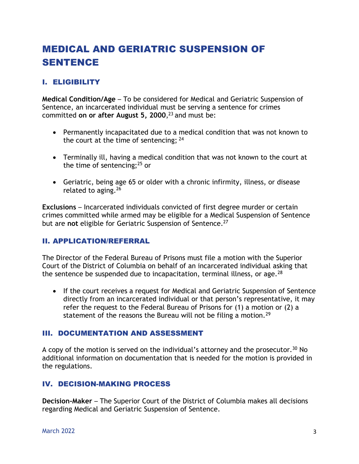## MEDICAL AND GERIATRIC SUSPENSION OF SENTENCE

#### I. ELIGIBILITY

**Medical Condition/Age** – To be considered for Medical and Geriatric Suspension of Sentence, an incarcerated individual must be serving a sentence for crimes committed **on or after August 5, 2000**, <sup>23</sup> and must be:

- Permanently incapacitated due to a medical condition that was not known to the court at the time of sentencing;  $24$
- Terminally ill, having a medical condition that was not known to the court at the time of sentencing; $^{25}$  or
- Geriatric, being age 65 or older with a chronic infirmity, illness, or disease related to aging.<sup>26</sup>

**Exclusions** – Incarcerated individuals convicted of first degree murder or certain crimes committed while armed may be eligible for a Medical Suspension of Sentence but are **not** eligible for Geriatric Suspension of Sentence.<sup>27</sup>

#### II. APPLICATION/REFERRAL

The Director of the Federal Bureau of Prisons must file a motion with the Superior Court of the District of Columbia on behalf of an incarcerated individual asking that the sentence be suspended due to incapacitation, terminal illness, or age.<sup>28</sup>

 If the court receives a request for Medical and Geriatric Suspension of Sentence directly from an incarcerated individual or that person's representative, it may refer the request to the Federal Bureau of Prisons for (1) a motion or (2) a statement of the reasons the Bureau will not be filing a motion.<sup>29</sup>

#### III. DOCUMENTATION AND ASSESSMENT

A copy of the motion is served on the individual's attorney and the prosecutor.<sup>30</sup> No additional information on documentation that is needed for the motion is provided in the regulations.

#### IV. DECISION-MAKING PROCESS

**Decision-Maker** – The Superior Court of the District of Columbia makes all decisions regarding Medical and Geriatric Suspension of Sentence.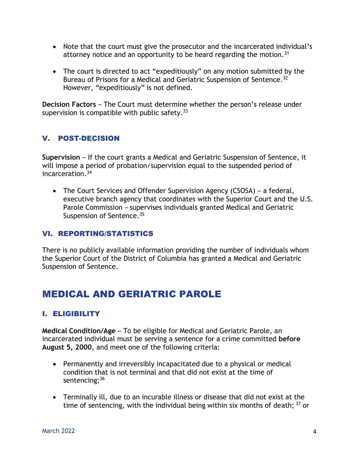- Note that the court must give the prosecutor and the incarcerated individual's attorney notice and an opportunity to be heard regarding the motion.<sup>31</sup>
- The court is directed to act "expeditiously" on any motion submitted by the Bureau of Prisons for a Medical and Geriatric Suspension of Sentence.<sup>32</sup> However, "expeditiously" is not defined.

**Decision Factors** – The Court must determine whether the person's release under supervision is compatible with public safety.  $33$ 

#### V. POST-DECISION

**Supervision** – If the court grants a Medical and Geriatric Suspension of Sentence, it will impose a period of probation/supervision equal to the suspended period of incarceration.<sup>34</sup>

 The Court Services and Offender Supervision Agency (CSOSA) – a federal, executive branch agency that coordinates with the Superior Court and the U.S. Parole Commission – supervises individuals granted Medical and Geriatric Suspension of Sentence.<sup>35</sup>

#### VI. REPORTING/STATISTICS

There is no publicly available information providing the number of individuals whom the Superior Court of the District of Columbia has granted a Medical and Geriatric Suspension of Sentence.

## MEDICAL AND GERIATRIC PAROLE

#### I. ELIGIBILITY

**Medical Condition/Age** – To be eligible for Medical and Geriatric Parole, an incarcerated individual must be serving a sentence for a crime committed **before August 5, 2000**, and meet one of the following criteria:

- Permanently and irreversibly incapacitated due to a physical or medical condition that is not terminal and that did not exist at the time of sentencing;<sup>36</sup>
- Terminally ill, due to an incurable illness or disease that did not exist at the time of sentencing, with the individual being within six months of death; <sup>37</sup> or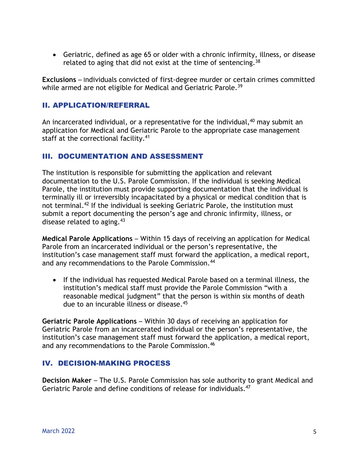Geriatric, defined as age 65 or older with a chronic infirmity, illness, or disease related to aging that did not exist at the time of sentencing.  $38$ 

**Exclusions** – Individuals convicted of first-degree murder or certain crimes committed while armed are not eligible for Medical and Geriatric Parole.<sup>39</sup>

#### II. APPLICATION/REFERRAL

An incarcerated individual, or a representative for the individual,<sup>40</sup> may submit an application for Medical and Geriatric Parole to the appropriate case management staff at the correctional facility.<sup>41</sup>

#### III. DOCUMENTATION AND ASSESSMENT

The institution is responsible for submitting the application and relevant documentation to the U.S. Parole Commission. If the individual is seeking Medical Parole, the institution must provide supporting documentation that the individual is terminally ill or irreversibly incapacitated by a physical or medical condition that is not terminal.<sup>42</sup> If the individual is seeking Geriatric Parole, the institution must submit a report documenting the person's age and chronic infirmity, illness, or disease related to aging.  $43$ 

**Medical Parole Applications** – Within 15 days of receiving an application for Medical Parole from an incarcerated individual or the person's representative, the institution's case management staff must forward the application, a medical report, and any recommendations to the Parole Commission.<sup>44</sup>

 If the individual has requested Medical Parole based on a terminal illness, the institution's medical staff must provide the Parole Commission "with a reasonable medical judgment" that the person is within six months of death due to an incurable illness or disease.<sup>45</sup>

**Geriatric Parole Applications** – Within 30 days of receiving an application for Geriatric Parole from an incarcerated individual or the person's representative, the institution's case management staff must forward the application, a medical report, and any recommendations to the Parole Commission.<sup>46</sup>

#### IV. DECISION-MAKING PROCESS

**Decision Maker** – The U.S. Parole Commission has sole authority to grant Medical and Geriatric Parole and define conditions of release for individuals.<sup>47</sup>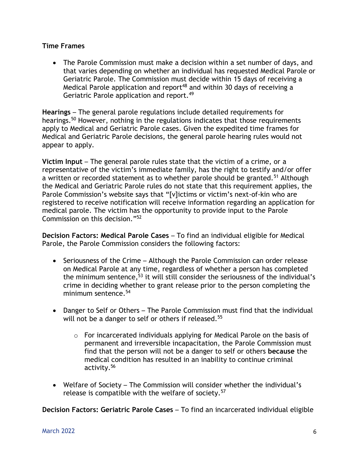#### **Time Frames**

 The Parole Commission must make a decision within a set number of days, and that varies depending on whether an individual has requested Medical Parole or Geriatric Parole. The Commission must decide within 15 days of receiving a Medical Parole application and report<sup>48</sup> and within 30 days of receiving a Geriatric Parole application and report.<sup>49</sup>

**Hearings** – The general parole regulations include detailed requirements for hearings.<sup>50</sup> However, nothing in the regulations indicates that those requirements apply to Medical and Geriatric Parole cases. Given the expedited time frames for Medical and Geriatric Parole decisions, the general parole hearing rules would not appear to apply.

**Victim Input** – The general parole rules state that the victim of a crime, or a representative of the victim's immediate family, has the right to testify and/or offer a written or recorded statement as to whether parole should be granted.<sup>51</sup> Although the Medical and Geriatric Parole rules do not state that this requirement applies, the Parole Commission's website says that "[v]ictims or victim's next-of-kin who are registered to receive notification will receive information regarding an application for medical parole. The victim has the opportunity to provide input to the Parole Commission on this decision."<sup>52</sup>

**Decision Factors: Medical Parole Cases** – To find an individual eligible for Medical Parole, the Parole Commission considers the following factors:

- Seriousness of the Crime Although the Parole Commission can order release on Medical Parole at any time, regardless of whether a person has completed the minimum sentence,<sup>53</sup> it will still consider the seriousness of the individual's crime in deciding whether to grant release prior to the person completing the minimum sentence.<sup>54</sup>
- Danger to Self or Others The Parole Commission must find that the individual will not be a danger to self or others if released.<sup>55</sup>
	- o For incarcerated individuals applying for Medical Parole on the basis of permanent and irreversible incapacitation, the Parole Commission must find that the person will not be a danger to self or others **because** the medical condition has resulted in an inability to continue criminal activity.<sup>56</sup>
- Welfare of Society The Commission will consider whether the individual's release is compatible with the welfare of society.<sup>57</sup>

**Decision Factors: Geriatric Parole Cases** – To find an incarcerated individual eligible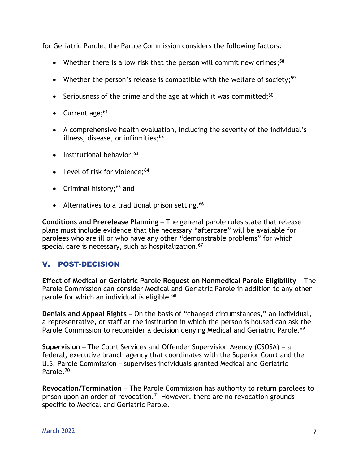for Geriatric Parole, the Parole Commission considers the following factors:

- Whether there is a low risk that the person will commit new crimes;<sup>58</sup>
- Whether the person's release is compatible with the welfare of society;<sup>59</sup>
- Seriousness of the crime and the age at which it was committed; $60$
- Current age;<sup>61</sup>
- A comprehensive health evaluation, including the severity of the individual's illness, disease, or infirmities; $62$
- $\bullet$  Institutional behavior;<sup>63</sup>
- Level of risk for violence; $64$
- Criminal history; $65$  and
- Alternatives to a traditional prison setting.<sup>66</sup>

**Conditions and Prerelease Planning** – The general parole rules state that release plans must include evidence that the necessary "aftercare" will be available for parolees who are ill or who have any other "demonstrable problems" for which special care is necessary, such as hospitalization.<sup>67</sup>

#### V. POST-DECISION

**Effect of Medical or Geriatric Parole Request on Nonmedical Parole Eligibility** – The Parole Commission can consider Medical and Geriatric Parole in addition to any other parole for which an individual is eligible.<sup>68</sup>

**Denials and Appeal Rights** – On the basis of "changed circumstances," an individual, a representative, or staff at the institution in which the person is housed can ask the Parole Commission to reconsider a decision denying Medical and Geriatric Parole.<sup>69</sup>

**Supervision** – The Court Services and Offender Supervision Agency (CSOSA) – a federal, executive branch agency that coordinates with the Superior Court and the U.S. Parole Commission – supervises individuals granted Medical and Geriatric Parole. 70

**Revocation/Termination** – The Parole Commission has authority to return parolees to prison upon an order of revocation.<sup>71</sup> However, there are no revocation grounds specific to Medical and Geriatric Parole.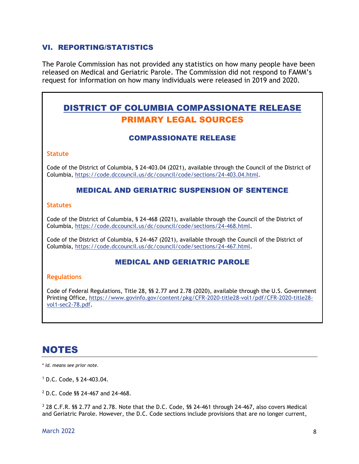#### VI. REPORTING/STATISTICS

The Parole Commission has not provided any statistics on how many people have been released on Medical and Geriatric Parole. The Commission did not respond to FAMM's request for information on how many individuals were released in 2019 and 2020.

### DISTRICT OF COLUMBIA COMPASSIONATE RELEASE PRIMARY LEGAL SOURCES

#### COMPASSIONATE RELEASE

#### **Statute**

Code of the District of Columbia, § 24-403.04 (2021), available through the Council of the District of Columbia, [https://code.dccouncil.us/dc/council/code/sections/24-403.04.html.](https://code.dccouncil.us/dc/council/code/sections/24-403.04.html)

#### MEDICAL AND GERIATRIC SUSPENSION OF SENTENCE

#### **Statutes**

Code of the District of Columbia, § 24-468 (2021), available through the Council of the District of Columbia, [https://code.dccouncil.us/dc/council/code/sections/24-468.html.](https://code.dccouncil.us/dc/council/code/sections/24-468.html)

Code of the District of Columbia, § 24-467 (2021), available through the Council of the District of Columbia, [https://code.dccouncil.us/dc/council/code/sections/24-467.html.](https://code.dccouncil.us/dc/council/code/sections/24-467.html)

#### MEDICAL AND GERIATRIC PAROLE

#### **Regulations**

Code of Federal Regulations, Title 28, §§ 2.77 and 2.78 (2020), available through the U.S. Government Printing Office, [https://www.govinfo.gov/content/pkg/CFR-2020-title28-vol1/pdf/CFR-2020-title28](https://www.govinfo.gov/content/pkg/CFR-2020-title28-vol1/pdf/CFR-2020-title28-vol1-sec2-78.pdf) [vol1-sec2-78.pdf.](https://www.govinfo.gov/content/pkg/CFR-2020-title28-vol1/pdf/CFR-2020-title28-vol1-sec2-78.pdf)

## NOTES

\* *Id. means see prior note.*

<sup>1</sup> D.C. Code, § 24-403.04.

<sup>2</sup> D.C. Code §§ 24-467 and 24-468.

<sup>3</sup> 28 C.F.R. §§ 2.77 and 2.78. Note that the D.C. Code, §§ 24-461 through 24-467, also covers Medical and Geriatric Parole. However, the D.C. Code sections include provisions that are no longer current,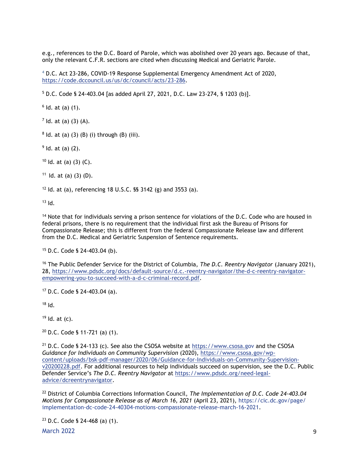e.g., references to the D.C. Board of Parole, which was abolished over 20 years ago. Because of that, only the relevant C.F.R. sections are cited when discussing Medical and Geriatric Parole.

<sup>4</sup> D.C. Act 23-286, COVID-19 Response Supplemental Emergency Amendment Act of 2020, [https://code.dccouncil.us/us/dc/council/acts/23-286.](https://code.dccouncil.us/us/dc/council/acts/23-286)

<sup>5</sup> D.C. Code § 24-403.04 [as added April 27, 2021, D.C. Law 23-274, § 1203 (b)].

 $6$  ld. at (a)  $(1)$ .

 $7$  ld. at (a) (3) (A).

 $8$  ld. at (a) (3) (B) (i) through (B) (iii).

 $9$  ld. at (a) (2).

 $10$  Id. at (a) (3) (C).

 $11$  ld. at (a) (3) (D).

 $12$  Id. at (a), referencing 18 U.S.C. §§ 3142 (g) and 3553 (a).

 $13$  Id.

<sup>14</sup> Note that for individuals serving a prison sentence for violations of the D.C. Code who are housed in federal prisons, there is no requirement that the individual first ask the Bureau of Prisons for Compassionate Release; this is different from the federal Compassionate Release law and different from the D.C. Medical and Geriatric Suspension of Sentence requirements.

<sup>15</sup> D.C. Code § 24-403.04 (b).

<sup>16</sup> The Public Defender Service for the District of Columbia, *The D.C. Reentry Navigator* (January 2021), 28, [https://www.pdsdc.org/docs/default-source/d.c.-reentry-navigator/the-d-c-reentry-navigator](https://www.pdsdc.org/docs/default-source/d.c.-reentry-navigator/the-d-c-reentry-navigator-empowering-you-to-succeed-with-a-d-c-criminal-record.pdf)[empowering-you-to-succeed-with-a-d-c-criminal-record.pdf.](https://www.pdsdc.org/docs/default-source/d.c.-reentry-navigator/the-d-c-reentry-navigator-empowering-you-to-succeed-with-a-d-c-criminal-record.pdf)

<sup>17</sup> D.C. Code § 24-403.04 (a).

 $18$  Id.

 $19$  Id. at (c).

 $20$  D.C. Code § 11-721 (a) (1).

<sup>21</sup> D.C. Code § 24-133 (c). See also the CSOSA website at [https://www.csosa.gov](https://www.csosa.gov/) and the CSOSA *Guidance for Individuals on Community Supervision* (2020), [https://www.csosa.gov/wp](https://www.csosa.gov/wp-content/uploads/bsk-pdf-manager/2020/06/Guidance-for-Individuals-on-Community-Supervision-v20200228.pdf)[content/uploads/bsk-pdf-manager/2020/06/Guidance-for-Individuals-on-Community-Supervision](https://www.csosa.gov/wp-content/uploads/bsk-pdf-manager/2020/06/Guidance-for-Individuals-on-Community-Supervision-v20200228.pdf)[v20200228.pdf.](https://www.csosa.gov/wp-content/uploads/bsk-pdf-manager/2020/06/Guidance-for-Individuals-on-Community-Supervision-v20200228.pdf) For additional resources to help individuals succeed on supervision, see the D.C. Public Defender Service's *The D.C. Reentry Navigator* at [https://www.pdsdc.org/need-legal](https://www.pdsdc.org/need-legal-advice/dcreentrynavigator)[advice/dcreentrynavigator.](https://www.pdsdc.org/need-legal-advice/dcreentrynavigator)

<sup>22</sup> District of Columbia Corrections Information Council, *The Implementation of D.C. Code 24-403.04 Motions for Compassionate Release as of March 16, 2021* (April 23, 2021), [https://cic.dc.gov/page/](https://cic.dc.gov/page/%20implementation-dc-code-24-40304-motions-compassionate-release-march-16-2021)  [implementation-dc-code-24-40304-motions-compassionate-release-march-16-2021.](https://cic.dc.gov/page/%20implementation-dc-code-24-40304-motions-compassionate-release-march-16-2021)

<sup>23</sup> D.C. Code § 24-468 (a) (1).

March 2022 **9**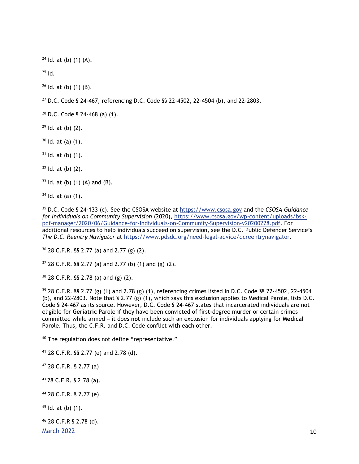ld. at (b) (1) (A).

Id.

Id. at (b) (1) (B).

D.C. Code § 24-467, referencing D.C. Code §§ 22-4502, 22-4504 (b), and 22-2803.

D.C. Code § 24-468 (a) (1).

Id. at (b) (2).

Id. at (a)  $(1)$ .

Id. at (b)  $(1)$ .

Id. at (b) (2).

ld. at (b) (1) (A) and (B).

Id. at (a) (1).

 D.C. Code § 24-133 (c). See the CSOSA website at [https://www.csosa.gov](https://www.csosa.gov/) and the *CSOSA Guidance for Individuals on Community Supervision* (2020), [https://www.csosa.gov/wp-content/uploads/bsk](https://www.csosa.gov/wp-content/uploads/bsk-pdf-manager/2020/06/Guidance-for-Individuals-on-Community-Supervision-v20200228.pdf)[pdf-manager/2020/06/Guidance-for-Individuals-on-Community-Supervision-v20200228.pdf.](https://www.csosa.gov/wp-content/uploads/bsk-pdf-manager/2020/06/Guidance-for-Individuals-on-Community-Supervision-v20200228.pdf) For additional resources to help individuals succeed on supervision, see the D.C. Public Defender Service's *The D.C. Reentry Navigator* at [https://www.pdsdc.org/need-legal-advice/dcreentrynavigator.](https://www.pdsdc.org/need-legal-advice/dcreentrynavigator)

28 C.F.R. §§ 2.77 (a) and 2.77 (g) (2).

28 C.F.R. §§ 2.77 (a) and 2.77 (b) (1) and (g) (2).

28 C.F.R. §§ 2.78 (a) and (g) (2).

 28 C.F.R. §§ 2.77 (g) (1) and 2.78 (g) (1), referencing crimes listed in D.C. Code §§ 22-4502, 22-4504 (b), and 22-2803. Note that § 2.77 (g) (1), which says this exclusion applies to Medical Parole, lists D.C. Code § 24-467 as its source. However, D.C. Code § 24-467 states that incarcerated individuals are not eligible for **Geriatric** Parole if they have been convicted of first-degree murder or certain crimes committed while armed – it does **not** include such an exclusion for individuals applying for **Medical** Parole. Thus, the C.F.R. and D.C. Code conflict with each other.

The regulation does not define "representative."

28 C.F.R. §§ 2.77 (e) and 2.78 (d).

28 C.F.R. § 2.77 (a)

28 C.F.R. § 2.78 (a).

28 C.F.R. § 2.77 (e).

Id. at (b)  $(1)$ .

28 C.F.R § 2.78 (d).

March  $2022$  and  $10$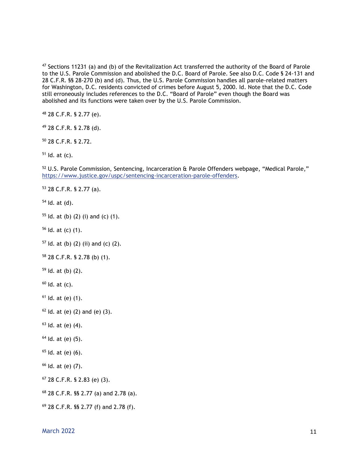Sections 11231 (a) and (b) of the Revitalization Act transferred the authority of the Board of Parole to the U.S. Parole Commission and abolished the D.C. Board of Parole. See also D.C. Code § 24-131 and 28 C.F.R. §§ 28-270 (b) and (d). Thus, the U.S. Parole Commission handles all parole-related matters for Washington, D.C. residents convicted of crimes before August 5, 2000. Id. Note that the D.C. Code still erroneously includes references to the D.C. "Board of Parole" even though the Board was abolished and its functions were taken over by the U.S. Parole Commission.

28 C.F.R. § 2.77 (e).

28 C.F.R. § 2.78 (d).

28 C.F.R. § 2.72.

Id. at (c).

52 U.S. Parole Commission, Sentencing, Incarceration & Parole Offenders webpage, "Medical Parole," [https://www.justice.gov/uspc/sentencing-incarceration-parole-offenders.](https://www.justice.gov/uspc/sentencing-incarceration-parole-offenders)

28 C.F.R. § 2.77 (a).

Id. at (d).

ld. at (b) (2) (i) and (c) (1).

Id. at (c) (1).

ld. at (b) (2) (ii) and (c) (2).

28 C.F.R. § 2.78 (b) (1).

Id. at (b) (2).

Id. at  $(c)$ .

Id. at (e) (1).

ld. at (e) (2) and (e) (3).

Id. at (e) (4).

Id. at (e) (5).

Id. at (e) (6).

Id*.* at (e) (7).

28 C.F.R. § 2.83 (e) (3).

28 C.F.R. §§ 2.77 (a) and 2.78 (a).

28 C.F.R. §§ 2.77 (f) and 2.78 (f).